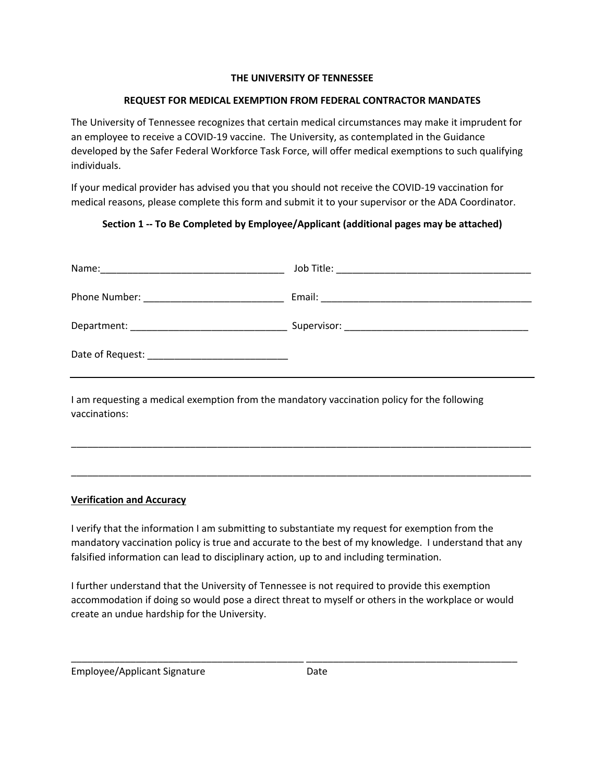### **THE UNIVERSITY OF TENNESSEE**

## **REQUEST FOR MEDICAL EXEMPTION FROM FEDERAL CONTRACTOR MANDATES**

 The University of Tennessee recognizes that certain medical circumstances may make it imprudent for an employee to receive a COVID-19 vaccine. The University, as contemplated in the Guidance developed by the Safer Federal Workforce Task Force, will offer medical exemptions to such qualifying individuals.

 medical reasons, please complete this form and submit it to your supervisor or the ADA Coordinator. If your medical provider has advised you that you should not receive the COVID-19 vaccination for

# **Section 1 -- To Be Completed by Employee/Applicant (additional pages may be attached)**

I am requesting a medical exemption from the mandatory vaccination policy for the following vaccinations:

## **Verification and Accuracy**

 I verify that the information I am submitting to substantiate my request for exemption from the mandatory vaccination policy is true and accurate to the best of my knowledge. I understand that any falsified information can lead to disciplinary action, up to and including termination.

\_\_\_\_\_\_\_\_\_\_\_\_\_\_\_\_\_\_\_\_\_\_\_\_\_\_\_\_\_\_\_\_\_\_\_\_\_\_\_\_\_\_\_\_\_\_\_\_\_\_\_\_\_\_\_\_\_\_\_\_\_\_\_\_\_\_\_\_\_\_\_\_\_\_\_\_\_\_\_\_\_\_\_\_\_

\_\_\_\_\_\_\_\_\_\_\_\_\_\_\_\_\_\_\_\_\_\_\_\_\_\_\_\_\_\_\_\_\_\_\_\_\_\_\_\_\_\_\_\_\_\_\_\_\_\_\_\_\_\_\_\_\_\_\_\_\_\_\_\_\_\_\_\_\_\_\_\_\_\_\_\_\_\_\_\_\_\_\_\_\_

 accommodation if doing so would pose a direct threat to myself or others in the workplace or would create an undue hardship for the University. I further understand that the University of Tennessee is not required to provide this exemption

\_\_\_\_\_\_\_\_\_\_\_\_\_\_\_\_\_\_\_\_\_\_\_\_\_\_\_\_\_\_\_\_\_\_\_\_\_\_\_\_\_\_\_ \_\_\_\_\_\_\_\_\_\_\_\_\_\_\_\_\_\_\_\_\_\_\_\_\_\_\_\_\_\_\_\_\_\_\_\_\_\_\_

| <b>Employee/Applicant Signature</b> | Date |
|-------------------------------------|------|
|-------------------------------------|------|